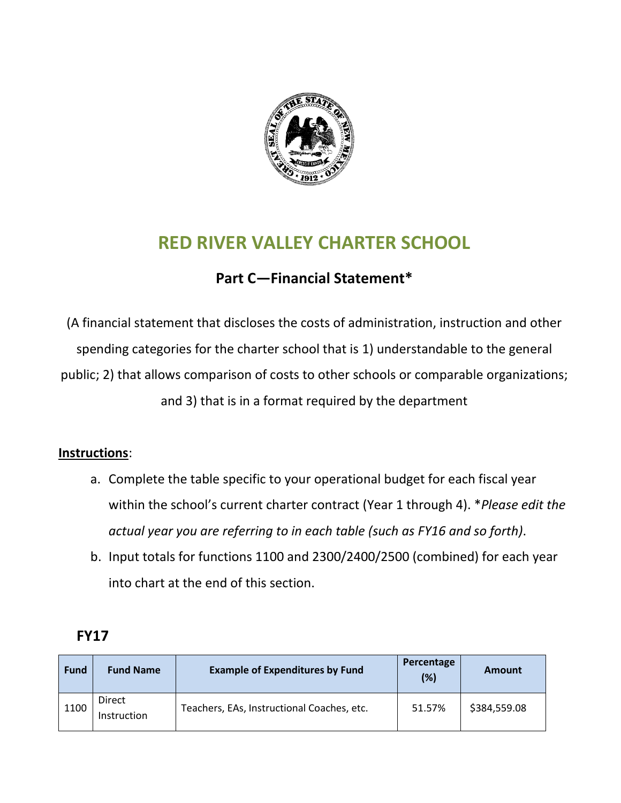

# **RED RIVER VALLEY CHARTER SCHOOL**

#### **Part C—Financial Statement\***

(A financial statement that discloses the costs of administration, instruction and other spending categories for the charter school that is 1) understandable to the general public; 2) that allows comparison of costs to other schools or comparable organizations; and 3) that is in a format required by the department

#### **Instructions**:

- a. Complete the table specific to your operational budget for each fiscal year within the school's current charter contract (Year 1 through 4). \**Please edit the actual year you are referring to in each table (such as FY16 and so forth)*.
- b. Input totals for functions 1100 and 2300/2400/2500 (combined) for each year into chart at the end of this section.

| <b>Fund</b> | <b>Fund Name</b>             | <b>Example of Expenditures by Fund</b>     | Percentage<br>(%) | Amount       |
|-------------|------------------------------|--------------------------------------------|-------------------|--------------|
| 1100        | <b>Direct</b><br>Instruction | Teachers, EAs, Instructional Coaches, etc. | 51.57%            | \$384,559.08 |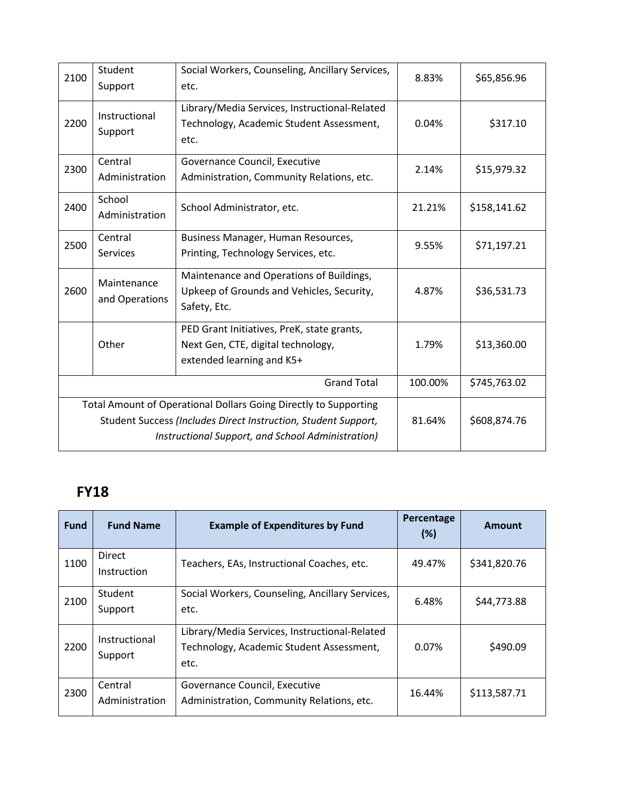| 2100                                                                                                                                                                                    | Student<br>Support            | Social Workers, Counseling, Ancillary Services,<br>etc.                                                       | 8.83%   | \$65,856.96  |
|-----------------------------------------------------------------------------------------------------------------------------------------------------------------------------------------|-------------------------------|---------------------------------------------------------------------------------------------------------------|---------|--------------|
| 2200                                                                                                                                                                                    | Instructional<br>Support      | Library/Media Services, Instructional-Related<br>Technology, Academic Student Assessment,<br>etc.             | 0.04%   | \$317.10     |
| 2300                                                                                                                                                                                    | Central<br>Administration     | Governance Council, Executive<br>Administration, Community Relations, etc.                                    | 2.14%   | \$15,979.32  |
| 2400                                                                                                                                                                                    | School<br>Administration      | School Administrator, etc.                                                                                    | 21.21%  | \$158,141.62 |
| 2500                                                                                                                                                                                    | Central<br>Services           | Business Manager, Human Resources,<br>Printing, Technology Services, etc.                                     | 9.55%   | \$71,197.21  |
| 2600                                                                                                                                                                                    | Maintenance<br>and Operations | Maintenance and Operations of Buildings,<br>Upkeep of Grounds and Vehicles, Security,<br>Safety, Etc.         | 4.87%   | \$36,531.73  |
|                                                                                                                                                                                         | Other                         | PED Grant Initiatives, PreK, state grants,<br>Next Gen, CTE, digital technology,<br>extended learning and K5+ | 1.79%   | \$13,360.00  |
| <b>Grand Total</b>                                                                                                                                                                      |                               |                                                                                                               | 100.00% | \$745,763.02 |
| Total Amount of Operational Dollars Going Directly to Supporting<br>Student Success (Includes Direct Instruction, Student Support,<br>Instructional Support, and School Administration) |                               |                                                                                                               | 81.64%  | \$608,874.76 |

| <b>Fund</b> | <b>Fund Name</b>             | <b>Example of Expenditures by Fund</b>                                                            | Percentage<br>(%) | Amount       |
|-------------|------------------------------|---------------------------------------------------------------------------------------------------|-------------------|--------------|
| 1100        | <b>Direct</b><br>Instruction | Teachers, EAs, Instructional Coaches, etc.                                                        | 49.47%            | \$341,820.76 |
| 2100        | Student<br>Support           | Social Workers, Counseling, Ancillary Services,<br>etc.                                           | 6.48%             | \$44,773.88  |
| 2200        | Instructional<br>Support     | Library/Media Services, Instructional-Related<br>Technology, Academic Student Assessment,<br>etc. | 0.07%             | \$490.09     |
| 2300        | Central<br>Administration    | Governance Council, Executive<br>Administration, Community Relations, etc.                        | 16.44%            | \$113,587.71 |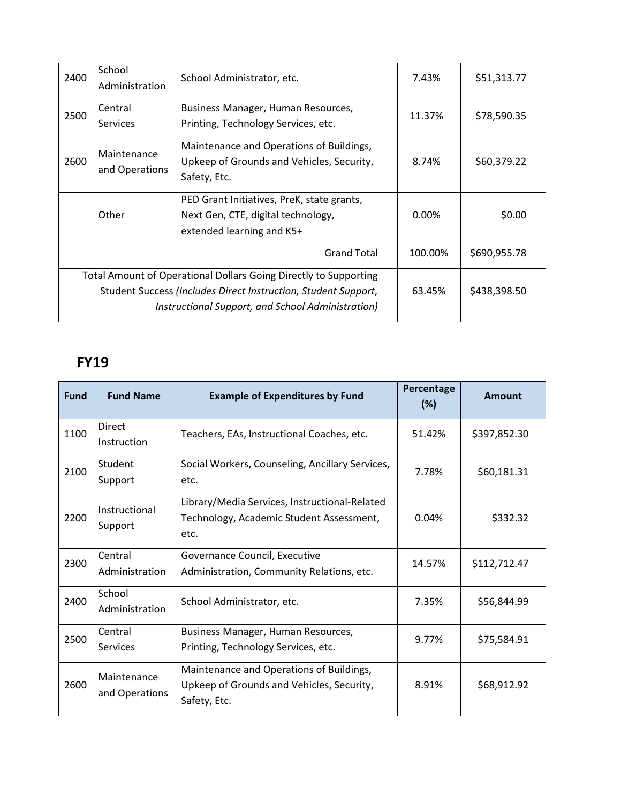| 2400                                                                                                                                                                                    | School<br>Administration      | School Administrator, etc.                                                                                    | 7.43%    | \$51,313.77  |
|-----------------------------------------------------------------------------------------------------------------------------------------------------------------------------------------|-------------------------------|---------------------------------------------------------------------------------------------------------------|----------|--------------|
| 2500                                                                                                                                                                                    | Central<br>Services           | Business Manager, Human Resources,<br>Printing, Technology Services, etc.                                     | 11.37%   | \$78,590.35  |
| 2600                                                                                                                                                                                    | Maintenance<br>and Operations | Maintenance and Operations of Buildings,<br>Upkeep of Grounds and Vehicles, Security,<br>Safety, Etc.         | 8.74%    | \$60,379.22  |
|                                                                                                                                                                                         | Other                         | PED Grant Initiatives, PreK, state grants,<br>Next Gen, CTE, digital technology,<br>extended learning and K5+ | $0.00\%$ | \$0.00       |
| <b>Grand Total</b>                                                                                                                                                                      |                               |                                                                                                               | 100.00%  | \$690,955.78 |
| Total Amount of Operational Dollars Going Directly to Supporting<br>Student Success (Includes Direct Instruction, Student Support,<br>Instructional Support, and School Administration) |                               |                                                                                                               | 63.45%   | \$438,398.50 |

| <b>Fund</b> | <b>Fund Name</b>              | <b>Example of Expenditures by Fund</b>                                                                | Percentage<br>(%) | <b>Amount</b> |
|-------------|-------------------------------|-------------------------------------------------------------------------------------------------------|-------------------|---------------|
| 1100        | <b>Direct</b><br>Instruction  | Teachers, EAs, Instructional Coaches, etc.                                                            | 51.42%            | \$397,852.30  |
| 2100        | Student<br>Support            | Social Workers, Counseling, Ancillary Services,<br>etc.                                               | 7.78%             | \$60,181.31   |
| 2200        | Instructional<br>Support      | Library/Media Services, Instructional-Related<br>Technology, Academic Student Assessment,<br>etc.     | 0.04%             | \$332.32      |
| 2300        | Central<br>Administration     | Governance Council, Executive<br>Administration, Community Relations, etc.                            | 14.57%            | \$112,712.47  |
| 2400        | School<br>Administration      | School Administrator, etc.                                                                            | 7.35%             | \$56,844.99   |
| 2500        | Central<br>Services           | Business Manager, Human Resources,<br>Printing, Technology Services, etc.                             | 9.77%             | \$75,584.91   |
| 2600        | Maintenance<br>and Operations | Maintenance and Operations of Buildings,<br>Upkeep of Grounds and Vehicles, Security,<br>Safety, Etc. | 8.91%             | \$68,912.92   |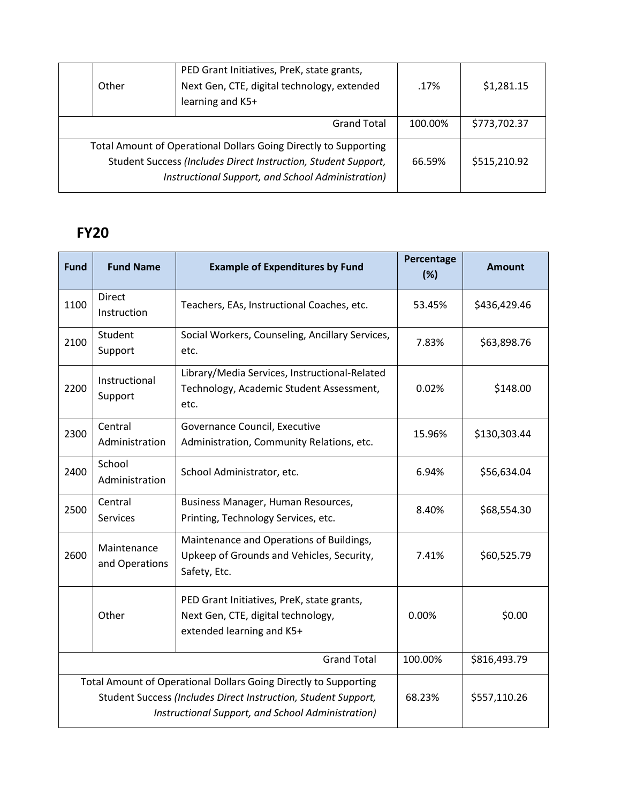| Other                                                                                                                                                                                   | PED Grant Initiatives, PreK, state grants,<br>Next Gen, CTE, digital technology, extended<br>learning and K5+ | .17%    | \$1,281.15   |
|-----------------------------------------------------------------------------------------------------------------------------------------------------------------------------------------|---------------------------------------------------------------------------------------------------------------|---------|--------------|
|                                                                                                                                                                                         | <b>Grand Total</b>                                                                                            | 100.00% | \$773,702.37 |
| Total Amount of Operational Dollars Going Directly to Supporting<br>Student Success (Includes Direct Instruction, Student Support,<br>Instructional Support, and School Administration) |                                                                                                               | 66.59%  | \$515,210.92 |

| <b>Fund</b>                                                                                                                                                                             | <b>Fund Name</b>              | <b>Example of Expenditures by Fund</b>                                                                        | Percentage<br>(%) | <b>Amount</b> |
|-----------------------------------------------------------------------------------------------------------------------------------------------------------------------------------------|-------------------------------|---------------------------------------------------------------------------------------------------------------|-------------------|---------------|
| 1100                                                                                                                                                                                    | Direct<br>Instruction         | Teachers, EAs, Instructional Coaches, etc.                                                                    | 53.45%            | \$436,429.46  |
| 2100                                                                                                                                                                                    | Student<br>Support            | Social Workers, Counseling, Ancillary Services,<br>etc.                                                       | 7.83%             | \$63,898.76   |
| 2200                                                                                                                                                                                    | Instructional<br>Support      | Library/Media Services, Instructional-Related<br>Technology, Academic Student Assessment,<br>etc.             | 0.02%             | \$148.00      |
| 2300                                                                                                                                                                                    | Central<br>Administration     | Governance Council, Executive<br>Administration, Community Relations, etc.                                    | 15.96%            | \$130,303.44  |
| 2400                                                                                                                                                                                    | School<br>Administration      | School Administrator, etc.                                                                                    | 6.94%             | \$56,634.04   |
| 2500                                                                                                                                                                                    | Central<br><b>Services</b>    | Business Manager, Human Resources,<br>Printing, Technology Services, etc.                                     | 8.40%             | \$68,554.30   |
| 2600                                                                                                                                                                                    | Maintenance<br>and Operations | Maintenance and Operations of Buildings,<br>Upkeep of Grounds and Vehicles, Security,<br>Safety, Etc.         | 7.41%             | \$60,525.79   |
|                                                                                                                                                                                         | Other                         | PED Grant Initiatives, PreK, state grants,<br>Next Gen, CTE, digital technology,<br>extended learning and K5+ | $0.00\%$          | \$0.00        |
| <b>Grand Total</b>                                                                                                                                                                      |                               |                                                                                                               | 100.00%           | \$816,493.79  |
| Total Amount of Operational Dollars Going Directly to Supporting<br>Student Success (Includes Direct Instruction, Student Support,<br>Instructional Support, and School Administration) |                               |                                                                                                               | 68.23%            | \$557,110.26  |